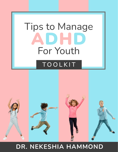# Tips to Manage ADHD For Youth

# TOOLKIT



### DR. NEKESHIA HAMMOND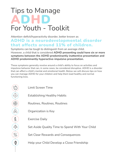# Tips to Manage ADHD For Youth - Toolkit

Attention-deficit/hyperactivity disorder, better known as

### [ADHD is a neurodevelopmental disorder](https://my.clevelandclinic.org/health/diseases/4784-attention-deficithyperactivity-disorder-adhd)  that affects around 11% of children.

Symptoms can be tough to distinguish from an average child. However, a child that is considered ADHD presenting could have six or more symptoms between the ADHD predominantly inattentive presentation and ADHD predominantly hyperactive-impulsive presentation.

These symptoms generally revolve around a child's ability to focus on activities and impulsive behavior that can, in some cases, be considered disruptive. ADHD is a disorder that can affect a child's mental and emotional health. Below we will discuss tips on how you can manage ADHD for your children and help them lead healthy and normal functioning lives.

Limit Screen Time

(F)

 $(35)$ 

 $\bigcirc$ 

₫

 $\mathbb{Z}$ 

 $\delta^{\Theta}_{\rm II}$ a

**READER** 

 $\ddot{\mathbf{y}}$ 

Establishing Healthy Habits

Routines, Routines, Routines

Organization is Key

Exercise Daily

Set Aside Quality Time to Spend With Your Child

Set Clear Rewards and Consequences

Help your Child Develop a Close Friendship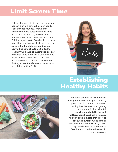### Limit Screen Time

Believe it or not, electronics can dominate not just a child's day, but also an adult's. Research has routinely shown that children who use electronics tend to be unhappier kids overall, which can have a tendency to exacerbate ADHD in a child. Children aged two to five should not have more than one hour of electronics time in a given day. For children aged six and above, this time should be limited to roughly two hours of electronics per day. While it can be a difficult rule to abide by, especially for parents that work from home and have to care for their children, limiting screen time is even more essential for children with ADHD.



### Establishing Healthy Habits

For some children this could mean taking the medications prescribed by physicians. For others it will mean eating healthy meals and getting enough physical activity. All children, and adults for that matter, should establish a healthy habit of eating meals that provide adequate nutrition, and getting enough sleep as well. Healthy habits may feel difficult to implement at first, but that is where the next tip comes into play.

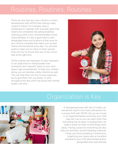### Routines, Routines, Routines

There are very few tips more critical to a child's development with ADHD than having a daily routine to follow. For example, have a whiteboard or calendar with everyday tasks that need to be completed, like eating breakfast, cleaning up their room, and before/after school responsibilities. It's also a good idea to have designated times and locations of the home for your child to complete their tasks such as their chores and homework every day. You will also want to make sure to check on them several times an hour to ensure they are on the correct task at the right time.

While routines are important, it's also important to set aside time for mental breaks from homework and "required" tasks so your child doesn't get overwhelmed. To help your children along, you can develop a daily checklist as well. This can help them not only to stay organized, but to give them mini-successes, or wins, throughout the day which can boost their mental health over time.





A disorganized area with lots of clutter can sometimes result in too many distractions for a young child with ADHD. Set up your house in an organized fashion and have your child help set it up so you can teach them that everything has its place. Including them can make it easier for them to find things more easily. Having a place for everything can also help you and them avoid frustrating outbursts if they can't find something. Furthermore, organizing your space sets an excellent example to your child about keeping their designated area neat and tidy.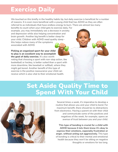### Exercise Daily

We touched on this briefly in the healthy habits tip, but daily exercise is beneficial for a number of reasons. It is even more beneficial with a young child that has ADHD as they are often referred to as individuals that have endless energy to burn. There are almost too many

benefits to count when your child gets to exercise daily. For example, you may immediately see a decrease in anxiety and depression while also helping concentration and brain growth. Another big benefit is better sleep for your child. Children with ADHD need quality sleep this helps reduce many of the symptoms associated with ADHD.

### Picking an organized sport for your child to play is an excellent way to accomplish the goal of daily exercise. It's also worth

noting that choosing a sport with non-stop action, like basketball or hockey, is better suited than a sport with more downtime, like baseball or softball, where they might get bored. Another benefit of this type of exercise is the positive reassurance your child can receive which is also vital to their emotional health.

### Set Aside Quality Time to Spend With Your Child



Several times a week, it's imperative to develop a routine that allows you and your child to bond. For maximum benefit, there should be no distractions from electronics. Having a parent sit with their child and communicate some of the positives and negatives of the week, for example, opens an avenue of trust between you and your child.

This type of bonding is crucial for a child with ADHD because it lets them know it's okay to express their emotions, especially frustration or anger, without acting out aggressively. This type of bonding is critical to their mental and emotional health because they won't be sitting on negative thoughts or emotions for too long.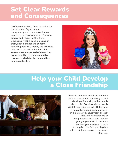### Set Clear Rewards and Consequences

Children with ADHD don't do well with the unknown. Organization, transparency, and communication are imperative to avoid confusion of how to behave and interact with others. Discussing what is to be expected of them, both in school and at home regarding behavior, chores, and activities, helps set a precedent. If your child knows what is expected of them, they can accomplish those tasks and be rewarded, which further boosts their emotional health.



### Help your Child Develop a Close Friendship



Bonding between caregivers and their children is essential, but having a child develop a friendship with a peer is also crucial. Bonding with a peer is vital if your child has ADHD, because it helps them build confidence, see an example of behavior from another child, and be introduced to independence. Be aware that the younger your child is, the more involved you may have to be to accomplish this. Set up a playdate with a neighbor, cousin, or classmate at school.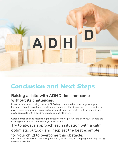

## Conclusion and Next Steps

### Raising a child with ADHD does not come without its challenges.

However, it is worth noting that an ADHD diagnosis should not stop anyone in your household from living a happy, healthy, and productive life! It may take time to shift your day-to-day schedule and parenting techniques to your new reality, but the benefits are easily attainable with a positive attitude and a little effort.

Getting organized and researching the best way to help your child positively can help the learning curve and cut down on days of frustration.

Try to always approach each situation with a calm, optimistic outlook and help set the best example for your child to overcome this obstacle.

It may not always be easy, but being there for your children, and helping them adapt along the way is worth it.